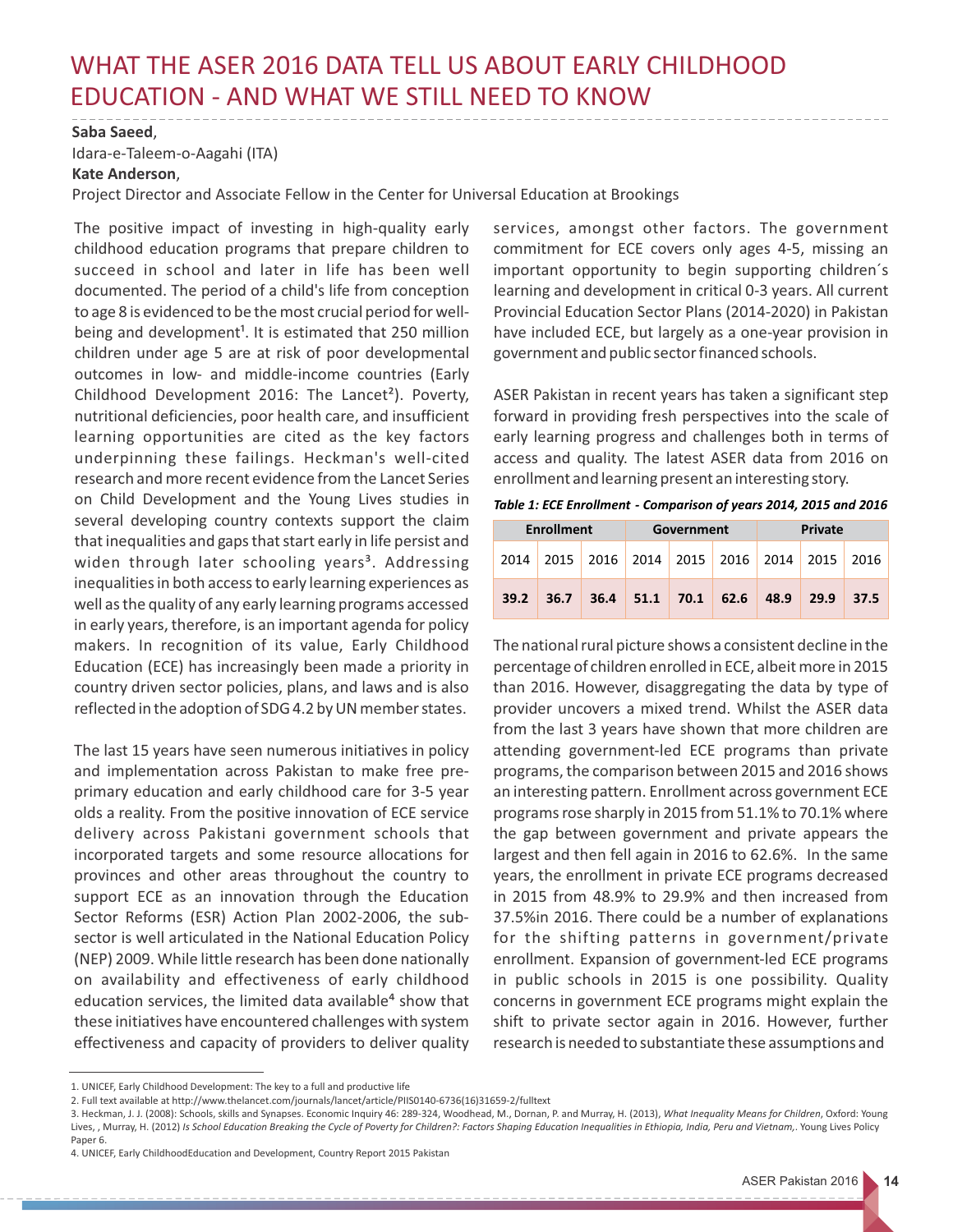## WHAT THE ASER 2016 DATA TELL US ABOUT EARLY CHILDHOOD EDUCATION - AND WHAT WE STILL NEED TO KNOW

## **Saba Saeed**,

Idara-e-Taleem-o-Aagahi (ITA)

## **Kate Anderson**,

Project Director and Associate Fellow in the Center for Universal Education at Brookings

The positive impact of investing in high-quality early childhood education programs that prepare children to succeed in school and later in life has been well documented. The period of a child's life from conception to age 8 is evidenced to be the most crucial period for wellbeing and development<sup>1</sup>. It is estimated that 250 million children under age 5 are at risk of poor developmental outcomes in low- and middle-income countries (Early Childhood Development 2016: The Lancet²). Poverty, nutritional deficiencies, poor health care, and insufficient learning opportunities are cited as the key factors underpinning these failings. Heckman's well-cited research and more recent evidence from the Lancet Series on Child Development and the Young Lives studies in several developing country contexts support the claim that inequalities and gaps that start early in life persist and widen through later schooling years<sup>3</sup>. Addressing inequalities in both access to early learning experiences as well as the quality of any early learning programs accessed in early years, therefore, is an important agenda for policy makers. In recognition of its value, Early Childhood Education (ECE) has increasingly been made a priority in country driven sector policies, plans, and laws and is also reflected in the adoption of SDG 4.2 by UN member states.

The last 15 years have seen numerous initiatives in policy and implementation across Pakistan to make free preprimary education and early childhood care for 3-5 year olds a reality. From the positive innovation of ECE service delivery across Pakistani government schools that incorporated targets and some resource allocations for provinces and other areas throughout the country to support ECE as an innovation through the Education Sector Reforms (ESR) Action Plan 2002-2006, the subsector is well articulated in the National Education Policy (NEP) 2009. While little research has been done nationally on availability and effectiveness of early childhood education services, the limited data available<sup>4</sup> show that these initiatives have encountered challenges with system effectiveness and capacity of providers to deliver quality services, amongst other factors. The government commitment for ECE covers only ages 4-5, missing an important opportunity to begin supporting children´s learning and development in critical 0-3 years. All current Provincial Education Sector Plans (2014-2020) in Pakistan have included ECE, but largely as a one-year provision in government and public sector financed schools.

ASER Pakistan in recent years has taken a significant step forward in providing fresh perspectives into the scale of early learning progress and challenges both in terms of access and quality. The latest ASER data from 2016 on enrollment and learning present an interesting story.

*Table 1: ECE Enrollment - Comparison of years 2014, 2015 and 2016*

| <b>Enrollment</b> |      |  | Government |                                                       |  | Private     |  |      |
|-------------------|------|--|------------|-------------------------------------------------------|--|-------------|--|------|
| 2014              |      |  |            | 2015   2016   2014   2015   2016   2014   2015   2016 |  |             |  |      |
| 39.2              | 36.7 |  |            | $36.4$ 51.1 70.1 62.6                                 |  | $48.9$ 29.9 |  | 37.5 |

The national rural picture shows a consistent decline in the percentage of children enrolled in ECE, albeit more in 2015 than 2016. However, disaggregating the data by type of provider uncovers a mixed trend. Whilst the ASER data from the last 3 years have shown that more children are attending government-led ECE programs than private programs, the comparison between 2015 and 2016 shows an interesting pattern. Enrollment across government ECE programs rose sharply in 2015 from 51.1% to 70.1% where the gap between government and private appears the largest and then fell again in 2016 to 62.6%. In the same years, the enrollment in private ECE programs decreased in 2015 from 48.9% to 29.9% and then increased from 37.5%in 2016. There could be a number of explanations for the shifting patterns in government/private enrollment. Expansion of government-led ECE programs in public schools in 2015 is one possibility. Quality concerns in government ECE programs might explain the shift to private sector again in 2016. However, further research is needed to substantiate these assumptions and

<sup>1.</sup> UNICEF, Early Childhood Development: The key to a full and productive life

<sup>2.</sup> Full text available at http://www.thelancet.com/journals/lancet/article/PIIS0140-6736(16)31659-2/fulltext

<sup>3.</sup> Heckman, J. J. (2008): Schools, skills and Synapses. Economic Inquiry 46: 289-324, Woodhead, M., Dornan, P. and Murray, H. (2013), *What Inequality Means for Children*, Oxford: Young Lives, , Murray, H. (2012) *Is School Education Breaking the Cycle of Poverty for Children?: Factors Shaping Education Inequalities in Ethiopia, India, Peru and Vietnam,*. Young Lives Policy Paper 6.

<sup>4.</sup> UNICEF, Early ChildhoodEducation and Development, Country Report 2015 Pakistan